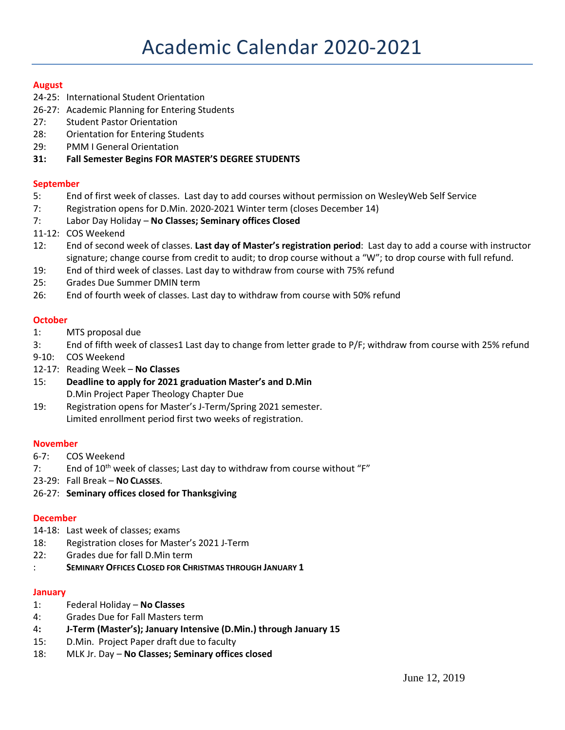## **August**

- 24-25: International Student Orientation
- 26-27: Academic Planning for Entering Students
- 27: Student Pastor Orientation
- 28: Orientation for Entering Students
- 29: PMM I General Orientation
- **31: Fall Semester Begins FOR MASTER'S DEGREE STUDENTS**

#### **September**

- 5: End of first week of classes. Last day to add courses without permission on WesleyWeb Self Service
- 7: Registration opens for D.Min. 2020-2021 Winter term (closes December 14)
- 7: Labor Day Holiday **No Classes; Seminary offices Closed**
- 11-12: COS Weekend
- 12: End of second week of classes. **Last day of Master's registration period**: Last day to add a course with instructor signature; change course from credit to audit; to drop course without a "W"; to drop course with full refund.
- 19: End of third week of classes. Last day to withdraw from course with 75% refund
- 25: Grades Due Summer DMIN term
- 26: End of fourth week of classes. Last day to withdraw from course with 50% refund

#### **October**

- 1: MTS proposal due
- 3: End of fifth week of classes1 Last day to change from letter grade to P/F; withdraw from course with 25% refund
- 9-10: COS Weekend
- 12-17: Reading Week **No Classes**
- 15: **Deadline to apply for 2021 graduation Master's and D.Min** D.Min Project Paper Theology Chapter Due
- 19: Registration opens for Master's J-Term/Spring 2021 semester. Limited enrollment period first two weeks of registration.

## **November**

- 6-7: COS Weekend
- 7: End of 10<sup>th</sup> week of classes; Last day to withdraw from course without "F"
- 23-29: Fall Break **NO CLASSES**.
- 26-27: **Seminary offices closed for Thanksgiving**

#### **December**

- 14-18: Last week of classes; exams
- 18: Registration closes for Master's 2021 J-Term
- 22: Grades due for fall D.Min term
- : **SEMINARY OFFICES CLOSED FOR CHRISTMAS THROUGH JANUARY 1**

#### **January**

- 1: Federal Holiday **No Classes**
- 4: Grades Due for Fall Masters term
- 4**: J-Term (Master's); January Intensive (D.Min.) through January 15**
- 15: D.Min. Project Paper draft due to faculty
- 18: MLK Jr. Day **No Classes; Seminary offices closed**